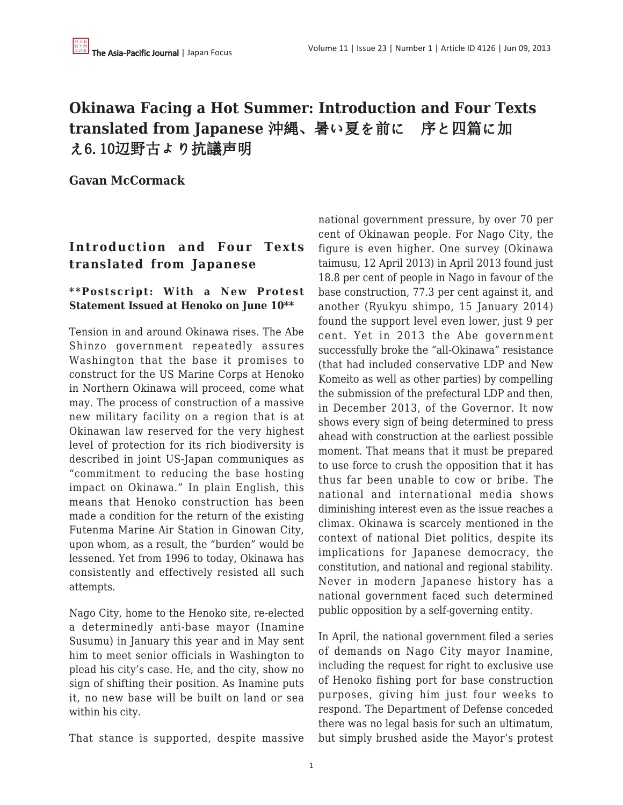# **Okinawa Facing a Hot Summer: Introduction and Four Texts translated from Japanese** 沖縄、暑い夏を前に 序と四篇に加 え6.10辺野古より抗議声明

**Gavan McCormack**

## **Introduction and Four Texts translated from Japanese**

## **\*\*Postscript: With a New Protest Statement Issued at Henoko on June 10\*\***

Tension in and around Okinawa rises. The Abe Shinzo government repeatedly assures Washington that the base it promises to construct for the US Marine Corps at Henoko in Northern Okinawa will proceed, come what may. The process of construction of a massive new military facility on a region that is at Okinawan law reserved for the very highest level of protection for its rich biodiversity is described in joint US-Japan communiques as "commitment to reducing the base hosting impact on Okinawa." In plain English, this means that Henoko construction has been made a condition for the return of the existing Futenma Marine Air Station in Ginowan City, upon whom, as a result, the "burden" would be lessened. Yet from 1996 to today, Okinawa has consistently and effectively resisted all such attempts.

Nago City, home to the Henoko site, re-elected a determinedly anti-base mayor (Inamine Susumu) in January this year and in May sent him to meet senior officials in Washington to plead his city's case. He, and the city, show no sign of shifting their position. As Inamine puts it, no new base will be built on land or sea within his city.

That stance is supported, despite massive

national government pressure, by over 70 per cent of Okinawan people. For Nago City, the figure is even higher. One survey (Okinawa taimusu, 12 April 2013) in April 2013 found just 18.8 per cent of people in Nago in favour of the base construction, 77.3 per cent against it, and another (Ryukyu shimpo, 15 January 2014) found the support level even lower, just 9 per cent. Yet in 2013 the Abe government successfully broke the "all-Okinawa" resistance (that had included conservative LDP and New Komeito as well as other parties) by compelling the submission of the prefectural LDP and then, in December 2013, of the Governor. It now shows every sign of being determined to press ahead with construction at the earliest possible moment. That means that it must be prepared to use force to crush the opposition that it has thus far been unable to cow or bribe. The national and international media shows diminishing interest even as the issue reaches a climax. Okinawa is scarcely mentioned in the context of national Diet politics, despite its implications for Japanese democracy, the constitution, and national and regional stability. Never in modern Japanese history has a national government faced such determined public opposition by a self-governing entity.

In April, the national government filed a series of demands on Nago City mayor Inamine, including the request for right to exclusive use of Henoko fishing port for base construction purposes, giving him just four weeks to respond. The Department of Defense conceded there was no legal basis for such an ultimatum, but simply brushed aside the Mayor's protest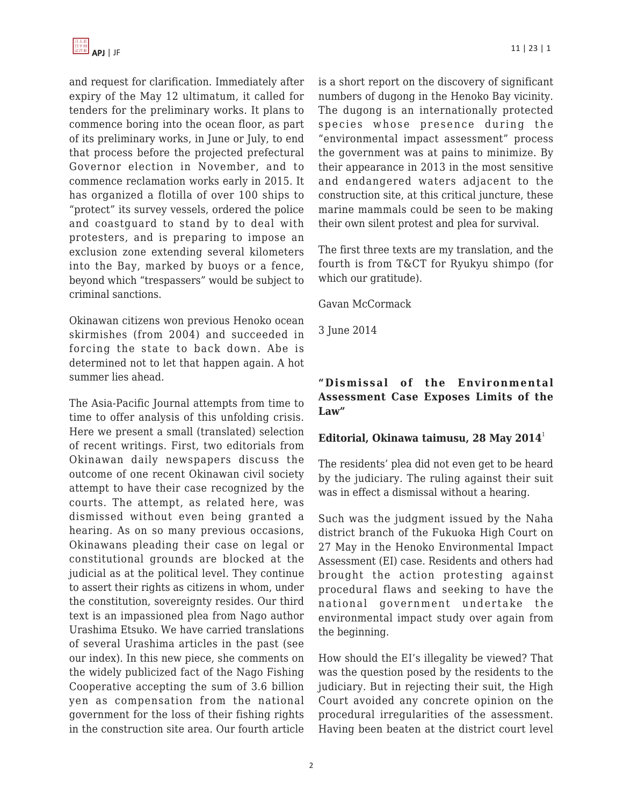and request for clarification. Immediately after expiry of the May 12 ultimatum, it called for tenders for the preliminary works. It plans to commence boring into the ocean floor, as part of its preliminary works, in June or July, to end that process before the projected prefectural Governor election in November, and to commence reclamation works early in 2015. It has organized a flotilla of over 100 ships to "protect" its survey vessels, ordered the police and coastguard to stand by to deal with protesters, and is preparing to impose an exclusion zone extending several kilometers into the Bay, marked by buoys or a fence, beyond which "trespassers" would be subject to criminal sanctions.

Okinawan citizens won previous Henoko ocean skirmishes (from 2004) and succeeded in forcing the state to back down. Abe is determined not to let that happen again. A hot summer lies ahead.

The Asia-Pacific Journal attempts from time to time to offer analysis of this unfolding crisis. Here we present a small (translated) selection of recent writings. First, two editorials from Okinawan daily newspapers discuss the outcome of one recent Okinawan civil society attempt to have their case recognized by the courts. The attempt, as related here, was dismissed without even being granted a hearing. As on so many previous occasions, Okinawans pleading their case on legal or constitutional grounds are blocked at the judicial as at the political level. They continue to assert their rights as citizens in whom, under the constitution, sovereignty resides. Our third text is an impassioned plea from Nago author Urashima Etsuko. We have carried translations of several Urashima articles in the past (see our index). In this new piece, she comments on the widely publicized fact of the Nago Fishing Cooperative accepting the sum of 3.6 billion yen as compensation from the national government for the loss of their fishing rights in the construction site area. Our fourth article is a short report on the discovery of significant numbers of dugong in the Henoko Bay vicinity. The dugong is an internationally protected species whose presence during the "environmental impact assessment" process the government was at pains to minimize. By their appearance in 2013 in the most sensitive and endangered waters adjacent to the construction site, at this critical juncture, these marine mammals could be seen to be making their own silent protest and plea for survival.

The first three texts are my translation, and the fourth is from T&CT for Ryukyu shimpo (for which our gratitude).

Gavan McCormack

3 June 2014

## **"Dismissal of the Environmental Assessment Case Exposes Limits of the Law"**

#### **Editorial, Okinawa taimusu, 28 May 2014**<sup>1</sup>

The residents' plea did not even get to be heard by the judiciary. The ruling against their suit was in effect a dismissal without a hearing.

Such was the judgment issued by the Naha district branch of the Fukuoka High Court on 27 May in the Henoko Environmental Impact Assessment (EI) case. Residents and others had brought the action protesting against procedural flaws and seeking to have the national government undertake the environmental impact study over again from the beginning.

How should the EI's illegality be viewed? That was the question posed by the residents to the judiciary. But in rejecting their suit, the High Court avoided any concrete opinion on the procedural irregularities of the assessment. Having been beaten at the district court level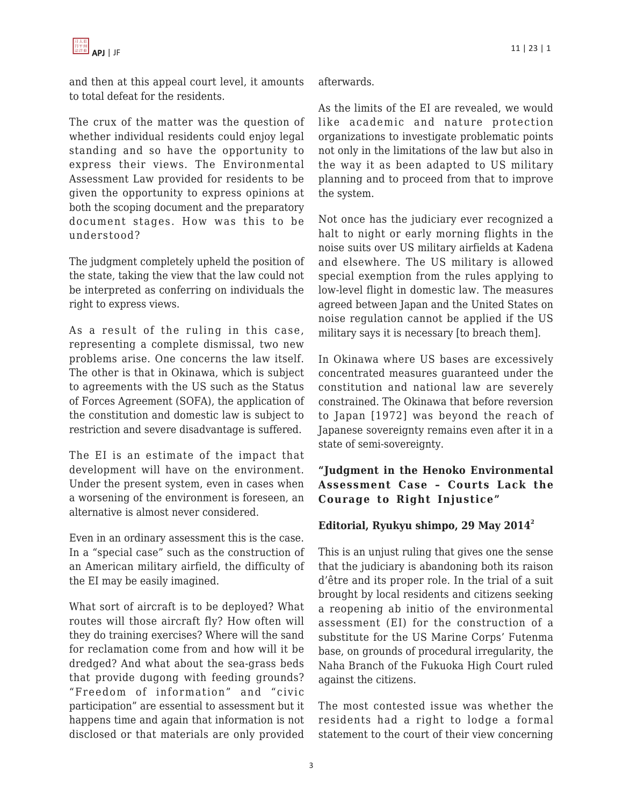

and then at this appeal court level, it amounts to total defeat for the residents.

The crux of the matter was the question of whether individual residents could enjoy legal standing and so have the opportunity to express their views. The Environmental Assessment Law provided for residents to be given the opportunity to express opinions at both the scoping document and the preparatory document stages. How was this to be understood?

The judgment completely upheld the position of the state, taking the view that the law could not be interpreted as conferring on individuals the right to express views.

As a result of the ruling in this case, representing a complete dismissal, two new problems arise. One concerns the law itself. The other is that in Okinawa, which is subject to agreements with the US such as the Status of Forces Agreement (SOFA), the application of the constitution and domestic law is subject to restriction and severe disadvantage is suffered.

The EI is an estimate of the impact that development will have on the environment. Under the present system, even in cases when a worsening of the environment is foreseen, an alternative is almost never considered.

Even in an ordinary assessment this is the case. In a "special case" such as the construction of an American military airfield, the difficulty of the EI may be easily imagined.

What sort of aircraft is to be deployed? What routes will those aircraft fly? How often will they do training exercises? Where will the sand for reclamation come from and how will it be dredged? And what about the sea-grass beds that provide dugong with feeding grounds? "Freedom of information" and "civic participation" are essential to assessment but it happens time and again that information is not disclosed or that materials are only provided afterwards.

As the limits of the EI are revealed, we would like academic and nature protection organizations to investigate problematic points not only in the limitations of the law but also in the way it as been adapted to US military planning and to proceed from that to improve the system.

Not once has the judiciary ever recognized a halt to night or early morning flights in the noise suits over US military airfields at Kadena and elsewhere. The US military is allowed special exemption from the rules applying to low-level flight in domestic law. The measures agreed between Japan and the United States on noise regulation cannot be applied if the US military says it is necessary [to breach them].

In Okinawa where US bases are excessively concentrated measures guaranteed under the constitution and national law are severely constrained. The Okinawa that before reversion to Japan [1972] was beyond the reach of Japanese sovereignty remains even after it in a state of semi-sovereignty.

## **"Judgment in the Henoko Environmental Assessment Case – Courts Lack the Courage to Right Injustice"**

#### **Editorial, Ryukyu shimpo, 29 May 2014<sup>2</sup>**

This is an unjust ruling that gives one the sense that the judiciary is abandoning both its raison d'être and its proper role. In the trial of a suit brought by local residents and citizens seeking a reopening ab initio of the environmental assessment (EI) for the construction of a substitute for the US Marine Corps' Futenma base, on grounds of procedural irregularity, the Naha Branch of the Fukuoka High Court ruled against the citizens.

The most contested issue was whether the residents had a right to lodge a formal statement to the court of their view concerning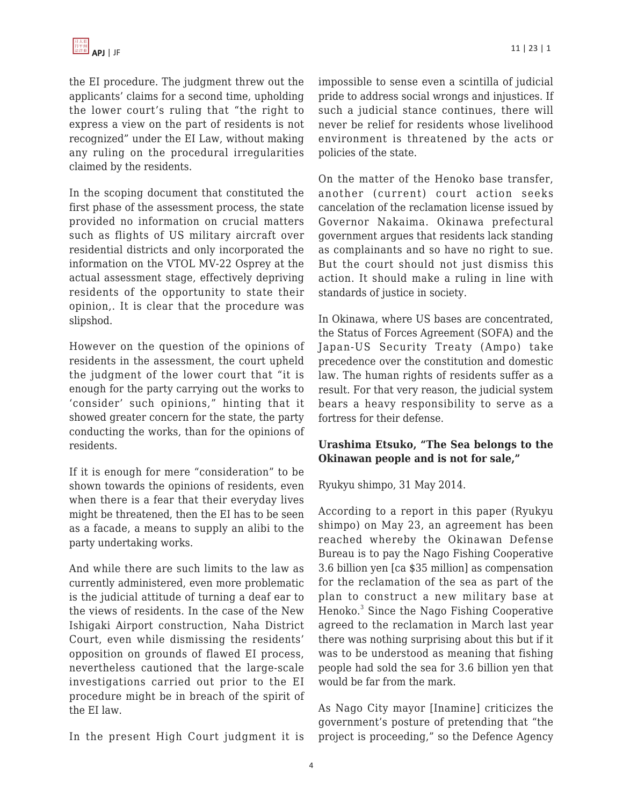the EI procedure. The judgment threw out the applicants' claims for a second time, upholding the lower court's ruling that "the right to express a view on the part of residents is not recognized" under the EI Law, without making any ruling on the procedural irregularities claimed by the residents.

In the scoping document that constituted the first phase of the assessment process, the state provided no information on crucial matters such as flights of US military aircraft over residential districts and only incorporated the information on the VTOL MV-22 Osprey at the actual assessment stage, effectively depriving residents of the opportunity to state their opinion,. It is clear that the procedure was slipshod.

However on the question of the opinions of residents in the assessment, the court upheld the judgment of the lower court that "it is enough for the party carrying out the works to 'consider' such opinions," hinting that it showed greater concern for the state, the party conducting the works, than for the opinions of residents.

If it is enough for mere "consideration" to be shown towards the opinions of residents, even when there is a fear that their everyday lives might be threatened, then the EI has to be seen as a facade, a means to supply an alibi to the party undertaking works.

And while there are such limits to the law as currently administered, even more problematic is the judicial attitude of turning a deaf ear to the views of residents. In the case of the New Ishigaki Airport construction, Naha District Court, even while dismissing the residents' opposition on grounds of flawed EI process, nevertheless cautioned that the large-scale investigations carried out prior to the EI procedure might be in breach of the spirit of the EI law.

In the present High Court judgment it is

impossible to sense even a scintilla of judicial pride to address social wrongs and injustices. If such a judicial stance continues, there will never be relief for residents whose livelihood environment is threatened by the acts or policies of the state.

On the matter of the Henoko base transfer, another (current) court action seeks cancelation of the reclamation license issued by Governor Nakaima. Okinawa prefectural government argues that residents lack standing as complainants and so have no right to sue. But the court should not just dismiss this action. It should make a ruling in line with standards of justice in society.

In Okinawa, where US bases are concentrated, the Status of Forces Agreement (SOFA) and the Japan-US Security Treaty (Ampo) take precedence over the constitution and domestic law. The human rights of residents suffer as a result. For that very reason, the judicial system bears a heavy responsibility to serve as a fortress for their defense.

## **Urashima Etsuko, "The Sea belongs to the Okinawan people and is not for sale,"**

Ryukyu shimpo, 31 May 2014.

According to a report in this paper (Ryukyu shimpo) on May 23, an agreement has been reached whereby the Okinawan Defense Bureau is to pay the Nago Fishing Cooperative 3.6 billion yen [ca \$35 million] as compensation for the reclamation of the sea as part of the plan to construct a new military base at Henoko.<sup>3</sup> Since the Nago Fishing Cooperative agreed to the reclamation in March last year there was nothing surprising about this but if it was to be understood as meaning that fishing people had sold the sea for 3.6 billion yen that would be far from the mark.

As Nago City mayor [Inamine] criticizes the government's posture of pretending that "the project is proceeding," so the Defence Agency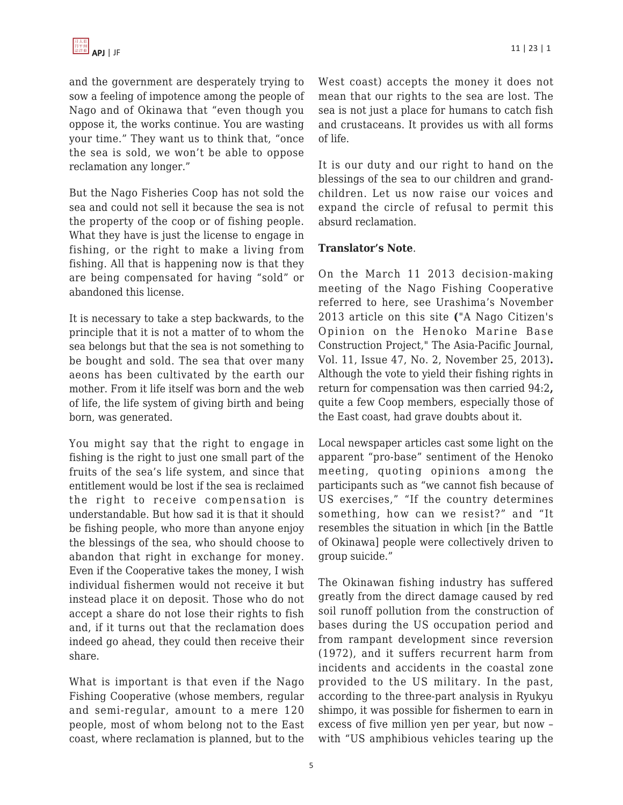and the government are desperately trying to sow a feeling of impotence among the people of Nago and of Okinawa that "even though you oppose it, the works continue. You are wasting your time." They want us to think that, "once the sea is sold, we won't be able to oppose reclamation any longer."

But the Nago Fisheries Coop has not sold the sea and could not sell it because the sea is not the property of the coop or of fishing people. What they have is just the license to engage in fishing, or the right to make a living from fishing. All that is happening now is that they are being compensated for having "sold" or abandoned this license.

It is necessary to take a step backwards, to the principle that it is not a matter of to whom the sea belongs but that the sea is not something to be bought and sold. The sea that over many aeons has been cultivated by the earth our mother. From it life itself was born and the web of life, the life system of giving birth and being born, was generated.

You might say that the right to engage in fishing is the right to just one small part of the fruits of the sea's life system, and since that entitlement would be lost if the sea is reclaimed the right to receive compensation is understandable. But how sad it is that it should be fishing people, who more than anyone enjoy the blessings of the sea, who should choose to abandon that right in exchange for money. Even if the Cooperative takes the money, I wish individual fishermen would not receive it but instead place it on deposit. Those who do not accept a share do not lose their rights to fish and, if it turns out that the reclamation does indeed go ahead, they could then receive their share.

What is important is that even if the Nago Fishing Cooperative (whose members, regular and semi-regular, amount to a mere 120 people, most of whom belong not to the East coast, where reclamation is planned, but to the West coast) accepts the money it does not mean that our rights to the sea are lost. The sea is not just a place for humans to catch fish and crustaceans. It provides us with all forms of life.

It is our duty and our right to hand on the blessings of the sea to our children and grandchildren. Let us now raise our voices and expand the circle of refusal to permit this absurd reclamation.

#### **Translator's Note**.

On the March 11 2013 decision-making meeting of the Nago Fishing Cooperative referred to here, see Urashima's November 2013 article on this site **(**"A Nago Citizen's Opinion on the Henoko Marine Base Construction Project," The Asia-Pacific Journal, Vol. 11, Issue 47, No. 2, November 25, 2013)**.** Although the vote to yield their fishing rights in return for compensation was then carried 94:2**,** quite a few Coop members, especially those of the East coast, had grave doubts about it.

Local newspaper articles cast some light on the apparent "pro-base" sentiment of the Henoko meeting, quoting opinions among the participants such as "we cannot fish because of US exercises," "If the country determines something, how can we resist?" and "It resembles the situation in which [in the Battle of Okinawa] people were collectively driven to group suicide."

The Okinawan fishing industry has suffered greatly from the direct damage caused by red soil runoff pollution from the construction of bases during the US occupation period and from rampant development since reversion (1972), and it suffers recurrent harm from incidents and accidents in the coastal zone provided to the US military. In the past, according to the three-part analysis in Ryukyu shimpo, it was possible for fishermen to earn in excess of five million yen per year, but now – with "US amphibious vehicles tearing up the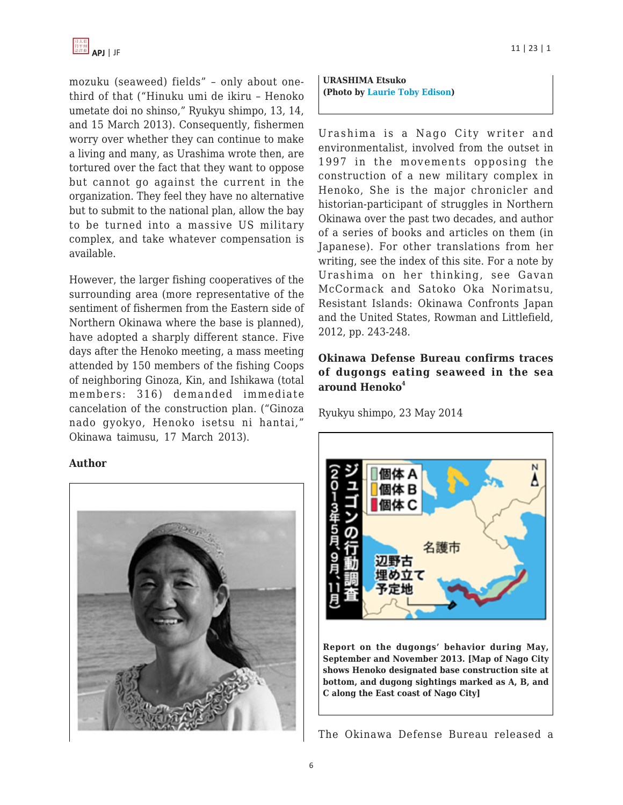mozuku (seaweed) fields" – only about onethird of that ("Hinuku umi de ikiru – Henoko umetate doi no shinso," Ryukyu shimpo, 13, 14, and 15 March 2013). Consequently, fishermen worry over whether they can continue to make a living and many, as Urashima wrote then, are tortured over the fact that they want to oppose but cannot go against the current in the organization. They feel they have no alternative but to submit to the national plan, allow the bay to be turned into a massive US military complex, and take whatever compensation is available.

However, the larger fishing cooperatives of the surrounding area (more representative of the sentiment of fishermen from the Eastern side of Northern Okinawa where the base is planned), have adopted a sharply different stance. Five days after the Henoko meeting, a mass meeting attended by 150 members of the fishing Coops of neighboring Ginoza, Kin, and Ishikawa (total members: 316) demanded immediate cancelation of the construction plan. ("Ginoza nado gyokyo, Henoko isetsu ni hantai," Okinawa taimusu, 17 March 2013).

#### **Author**



APJ | JF 11 | 23 | 1

**URASHIMA Etsuko (Photo by [Laurie Toby Edison\)](http://www.laurietobyedison.com/WOJwords_UrashimaEtsuko.php)**

Urashima is a Nago City writer and environmentalist, involved from the outset in 1997 in the movements opposing the construction of a new military complex in Henoko, She is the major chronicler and historian-participant of struggles in Northern Okinawa over the past two decades, and author of a series of books and articles on them (in Japanese). For other translations from her writing, see the index of this site. For a note by Urashima on her thinking, see Gavan McCormack and Satoko Oka Norimatsu, Resistant Islands: Okinawa Confronts Japan and the United States, Rowman and Littlefield, 2012, pp. 243-248.

## **Okinawa Defense Bureau confirms traces of dugongs eating seaweed in the sea around Henoko<sup>4</sup>**

Ryukyu shimpo, 23 May 2014



The Okinawa Defense Bureau released a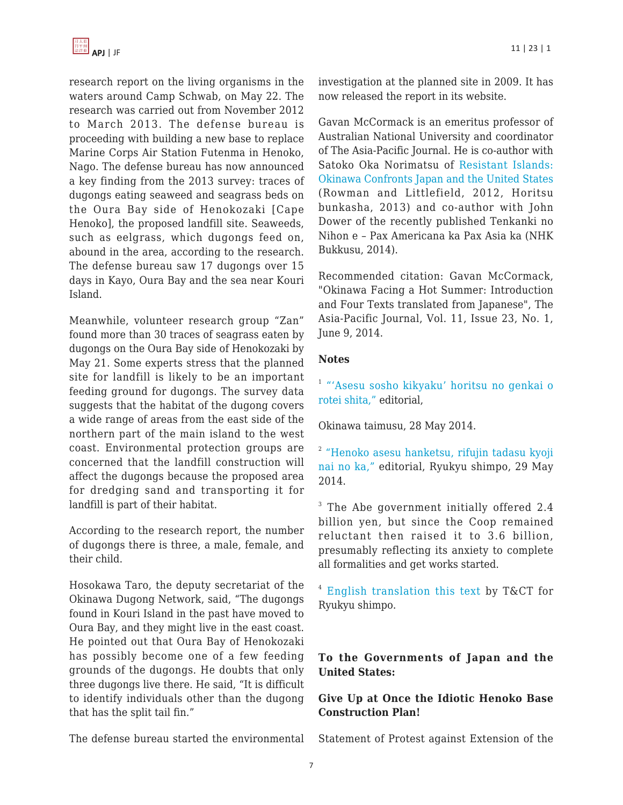

research report on the living organisms in the waters around Camp Schwab, on May 22. The research was carried out from November 2012 to March 2013. The defense bureau is proceeding with building a new base to replace Marine Corps Air Station Futenma in Henoko, Nago. The defense bureau has now announced a key finding from the 2013 survey: traces of dugongs eating seaweed and seagrass beds on the Oura Bay side of Henokozaki [Cape Henoko], the proposed landfill site. Seaweeds, such as eelgrass, which dugongs feed on, abound in the area, according to the research. The defense bureau saw 17 dugongs over 15 days in Kayo, Oura Bay and the sea near Kouri Island.

Meanwhile, volunteer research group "Zan" found more than 30 traces of seagrass eaten by dugongs on the Oura Bay side of Henokozaki by May 21. Some experts stress that the planned site for landfill is likely to be an important feeding ground for dugongs. The survey data suggests that the habitat of the dugong covers a wide range of areas from the east side of the northern part of the main island to the west coast. Environmental protection groups are concerned that the landfill construction will affect the dugongs because the proposed area for dredging sand and transporting it for landfill is part of their habitat.

According to the research report, the number of dugongs there is three, a male, female, and their child.

Hosokawa Taro, the deputy secretariat of the Okinawa Dugong Network, said, "The dugongs found in Kouri Island in the past have moved to Oura Bay, and they might live in the east coast. He pointed out that Oura Bay of Henokozaki has possibly become one of a few feeding grounds of the dugongs. He doubts that only three dugongs live there. He said, "It is difficult to identify individuals other than the dugong that has the split tail fin."

The defense bureau started the environmental

investigation at the planned site in 2009. It has now released the report in its website.

Gavan McCormack is an emeritus professor of Australian National University and coordinator of The Asia-Pacific Journal. He is co-author with Satoko Oka Norimatsu of [Resistant Islands:](http://www.amazon.com/dp/1442215623?tag=theasipacjo0b-20) [Okinawa Confronts Japan and the United States](http://www.amazon.com/dp/1442215623?tag=theasipacjo0b-20) (Rowman and Littlefield, 2012, Horitsu bunkasha, 2013) and co-author with John Dower of the recently published Tenkanki no Nihon e – Pax Americana ka Pax Asia ka (NHK Bukkusu, 2014).

Recommended citation: Gavan McCormack, "Okinawa Facing a Hot Summer: Introduction and Four Texts translated from Japanese", The Asia-Pacific Journal, Vol. 11, Issue 23, No. 1, June 9, 2014.

#### **Notes**

<sup>1</sup> ["'Asesu sosho kikyaku' horitsu no genkai o](http://www.okinawatimes.co.jp/article.php?id=70944) [rotei shita,"](http://www.okinawatimes.co.jp/article.php?id=70944) editorial,

Okinawa taimusu, 28 May 2014.

<sup>2</sup> ["Henoko asesu hanketsu, rifujin tadasu kyoji](http://ryukyushimpo.jp/news/storyid-226148-storytopic-11.html) [nai no ka,"](http://ryukyushimpo.jp/news/storyid-226148-storytopic-11.html) editorial, Ryukyu shimpo, 29 May 2014.

<sup>3</sup> The Abe government initially offered 2.4 billion yen, but since the Coop remained reluctant then raised it to 3.6 billion, presumably reflecting its anxiety to complete all formalities and get works started.

4 [English translation this text](http://english.ryukyushimpo.jp/2014/05/31/14142/) by T&CT for Ryukyu shimpo.

#### **To the Governments of Japan and the United States:**

## **Give Up at Once the Idiotic Henoko Base Construction Plan!**

Statement of Protest against Extension of the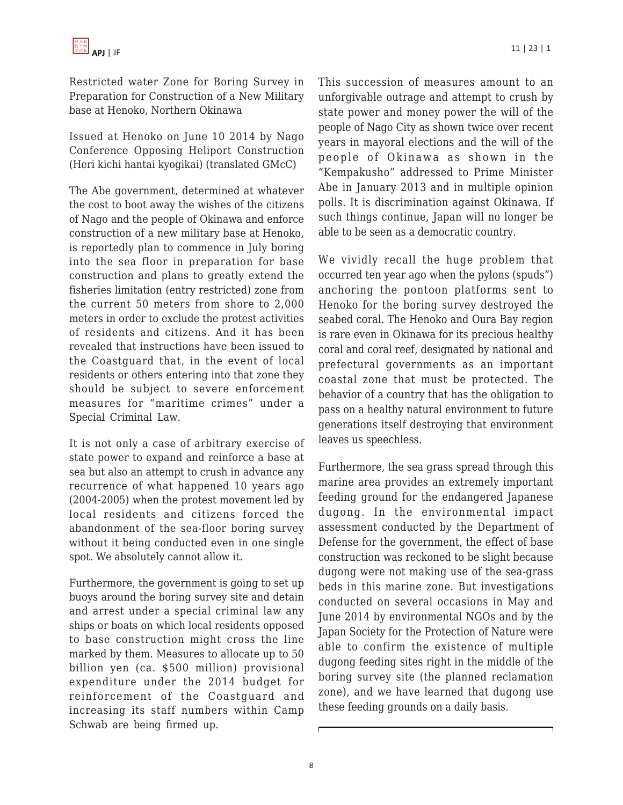Restricted water Zone for Boring Survey in Preparation for Construction of a New Military base at Henoko, Northern Okinawa

Issued at Henoko on June 10 2014 by Nago Conference Opposing Heliport Construction (Heri kichi hantai kyogikai) (translated GMcC)

The Abe government, determined at whatever the cost to boot away the wishes of the citizens of Nago and the people of Okinawa and enforce construction of a new military base at Henoko, is reportedly plan to commence in July boring into the sea floor in preparation for base construction and plans to greatly extend the fisheries limitation (entry restricted) zone from the current 50 meters from shore to 2,000 meters in order to exclude the protest activities of residents and citizens. And it has been revealed that instructions have been issued to the Coastguard that, in the event of local residents or others entering into that zone they should be subject to severe enforcement measures for "maritime crimes" under a Special Criminal Law.

It is not only a case of arbitrary exercise of state power to expand and reinforce a base at sea but also an attempt to crush in advance any recurrence of what happened 10 years ago (2004-2005) when the protest movement led by local residents and citizens forced the abandonment of the sea-floor boring survey without it being conducted even in one single spot. We absolutely cannot allow it.

Furthermore, the government is going to set up buoys around the boring survey site and detain and arrest under a special criminal law any ships or boats on which local residents opposed to base construction might cross the line marked by them. Measures to allocate up to 50 billion yen (ca. \$500 million) provisional expenditure under the 2014 budget for reinforcement of the Coastguard and increasing its staff numbers within Camp Schwab are being firmed up.

This succession of measures amount to an unforgivable outrage and attempt to crush by state power and money power the will of the people of Nago City as shown twice over recent years in mayoral elections and the will of the people of Okinawa as shown in the "Kempakusho" addressed to Prime Minister Abe in January 2013 and in multiple opinion polls. It is discrimination against Okinawa. If such things continue, Japan will no longer be able to be seen as a democratic country.

We vividly recall the huge problem that occurred ten year ago when the pylons (spuds") anchoring the pontoon platforms sent to Henoko for the boring survey destroyed the seabed coral. The Henoko and Oura Bay region is rare even in Okinawa for its precious healthy coral and coral reef, designated by national and prefectural governments as an important coastal zone that must be protected. The behavior of a country that has the obligation to pass on a healthy natural environment to future generations itself destroying that environment leaves us speechless.

Furthermore, the sea grass spread through this marine area provides an extremely important feeding ground for the endangered Japanese dugong. In the environmental impact assessment conducted by the Department of Defense for the government, the effect of base construction was reckoned to be slight because dugong were not making use of the sea-grass beds in this marine zone. But investigations conducted on several occasions in May and June 2014 by environmental NGOs and by the Japan Society for the Protection of Nature were able to confirm the existence of multiple dugong feeding sites right in the middle of the boring survey site (the planned reclamation zone), and we have learned that dugong use these feeding grounds on a daily basis.